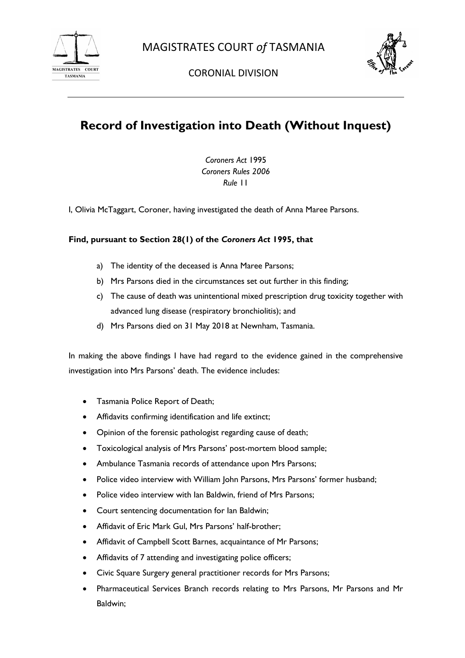



CORONIAL DIVISION

# **Record of Investigation into Death (Without Inquest)**

*Coroners Act* 1995 *Coroners Rules 2006 Rule* 11

I, Olivia McTaggart, Coroner, having investigated the death of Anna Maree Parsons.

## **Find, pursuant to Section 28(1) of the** *Coroners Act* **1995, that**

- a) The identity of the deceased is Anna Maree Parsons;
- b) Mrs Parsons died in the circumstances set out further in this finding;
- c) The cause of death was unintentional mixed prescription drug toxicity together with advanced lung disease (respiratory bronchiolitis); and
- d) Mrs Parsons died on 31 May 2018 at Newnham, Tasmania.

In making the above findings I have had regard to the evidence gained in the comprehensive investigation into Mrs Parsons' death. The evidence includes:

- Tasmania Police Report of Death;
- Affidavits confirming identification and life extinct;
- Opinion of the forensic pathologist regarding cause of death;
- Toxicological analysis of Mrs Parsons' post-mortem blood sample;
- Ambulance Tasmania records of attendance upon Mrs Parsons;
- Police video interview with William John Parsons, Mrs Parsons' former husband;
- Police video interview with lan Baldwin, friend of Mrs Parsons;
- Court sentencing documentation for Ian Baldwin;
- Affidavit of Eric Mark Gul, Mrs Parsons' half-brother;
- Affidavit of Campbell Scott Barnes, acquaintance of Mr Parsons;
- Affidavits of 7 attending and investigating police officers;
- Civic Square Surgery general practitioner records for Mrs Parsons;
- Pharmaceutical Services Branch records relating to Mrs Parsons, Mr Parsons and Mr Baldwin;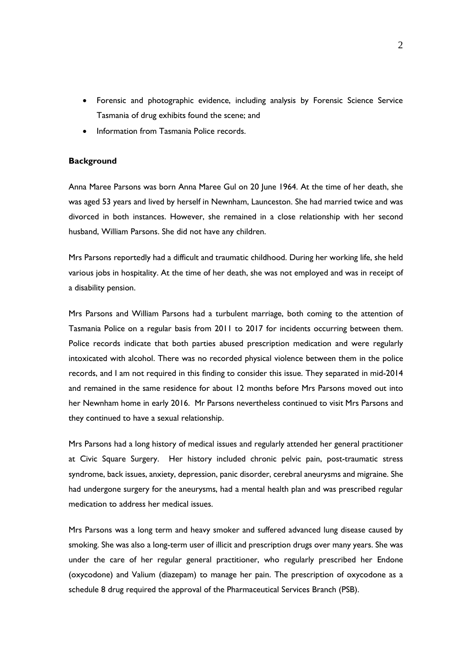- Forensic and photographic evidence, including analysis by Forensic Science Service Tasmania of drug exhibits found the scene; and
- Information from Tasmania Police records.

#### **Background**

Anna Maree Parsons was born Anna Maree Gul on 20 June 1964. At the time of her death, she was aged 53 years and lived by herself in Newnham, Launceston. She had married twice and was divorced in both instances. However, she remained in a close relationship with her second husband, William Parsons. She did not have any children.

Mrs Parsons reportedly had a difficult and traumatic childhood. During her working life, she held various jobs in hospitality. At the time of her death, she was not employed and was in receipt of a disability pension.

Mrs Parsons and William Parsons had a turbulent marriage, both coming to the attention of Tasmania Police on a regular basis from 2011 to 2017 for incidents occurring between them. Police records indicate that both parties abused prescription medication and were regularly intoxicated with alcohol. There was no recorded physical violence between them in the police records, and I am not required in this finding to consider this issue. They separated in mid-2014 and remained in the same residence for about 12 months before Mrs Parsons moved out into her Newnham home in early 2016. Mr Parsons nevertheless continued to visit Mrs Parsons and they continued to have a sexual relationship.

Mrs Parsons had a long history of medical issues and regularly attended her general practitioner at Civic Square Surgery. Her history included chronic pelvic pain, post-traumatic stress syndrome, back issues, anxiety, depression, panic disorder, cerebral aneurysms and migraine. She had undergone surgery for the aneurysms, had a mental health plan and was prescribed regular medication to address her medical issues.

Mrs Parsons was a long term and heavy smoker and suffered advanced lung disease caused by smoking. She was also a long-term user of illicit and prescription drugs over many years. She was under the care of her regular general practitioner, who regularly prescribed her Endone (oxycodone) and Valium (diazepam) to manage her pain. The prescription of oxycodone as a schedule 8 drug required the approval of the Pharmaceutical Services Branch (PSB).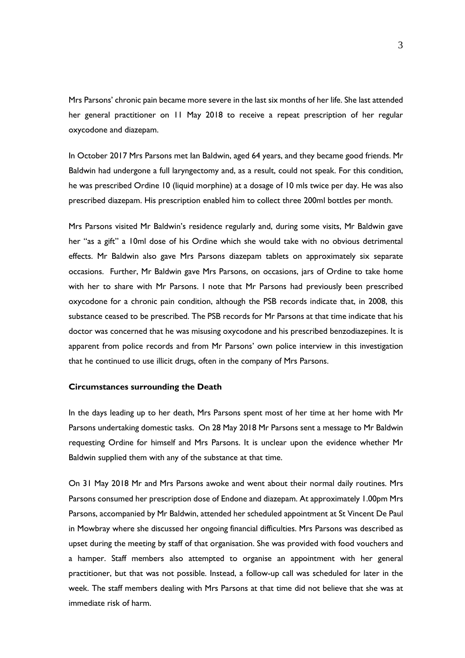Mrs Parsons' chronic pain became more severe in the last six months of her life. She last attended her general practitioner on 11 May 2018 to receive a repeat prescription of her regular oxycodone and diazepam.

In October 2017 Mrs Parsons met Ian Baldwin, aged 64 years, and they became good friends. Mr Baldwin had undergone a full laryngectomy and, as a result, could not speak. For this condition, he was prescribed Ordine 10 (liquid morphine) at a dosage of 10 mls twice per day. He was also prescribed diazepam. His prescription enabled him to collect three 200ml bottles per month.

Mrs Parsons visited Mr Baldwin's residence regularly and, during some visits, Mr Baldwin gave her "as a gift" a 10ml dose of his Ordine which she would take with no obvious detrimental effects. Mr Baldwin also gave Mrs Parsons diazepam tablets on approximately six separate occasions. Further, Mr Baldwin gave Mrs Parsons, on occasions, jars of Ordine to take home with her to share with Mr Parsons. I note that Mr Parsons had previously been prescribed oxycodone for a chronic pain condition, although the PSB records indicate that, in 2008, this substance ceased to be prescribed. The PSB records for Mr Parsons at that time indicate that his doctor was concerned that he was misusing oxycodone and his prescribed benzodiazepines. It is apparent from police records and from Mr Parsons' own police interview in this investigation that he continued to use illicit drugs, often in the company of Mrs Parsons.

#### **Circumstances surrounding the Death**

In the days leading up to her death, Mrs Parsons spent most of her time at her home with Mr Parsons undertaking domestic tasks. On 28 May 2018 Mr Parsons sent a message to Mr Baldwin requesting Ordine for himself and Mrs Parsons. It is unclear upon the evidence whether Mr Baldwin supplied them with any of the substance at that time.

On 31 May 2018 Mr and Mrs Parsons awoke and went about their normal daily routines. Mrs Parsons consumed her prescription dose of Endone and diazepam. At approximately 1.00pm Mrs Parsons, accompanied by Mr Baldwin, attended her scheduled appointment at St Vincent De Paul in Mowbray where she discussed her ongoing financial difficulties. Mrs Parsons was described as upset during the meeting by staff of that organisation. She was provided with food vouchers and a hamper. Staff members also attempted to organise an appointment with her general practitioner, but that was not possible. Instead, a follow-up call was scheduled for later in the week. The staff members dealing with Mrs Parsons at that time did not believe that she was at immediate risk of harm.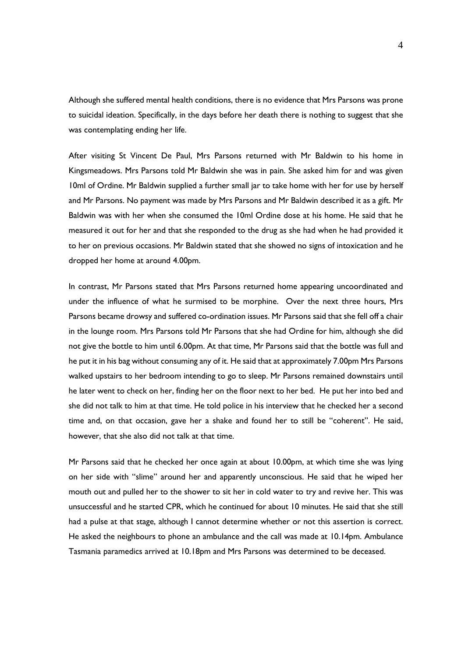Although she suffered mental health conditions, there is no evidence that Mrs Parsons was prone to suicidal ideation. Specifically, in the days before her death there is nothing to suggest that she was contemplating ending her life.

After visiting St Vincent De Paul, Mrs Parsons returned with Mr Baldwin to his home in Kingsmeadows. Mrs Parsons told Mr Baldwin she was in pain. She asked him for and was given 10ml of Ordine. Mr Baldwin supplied a further small jar to take home with her for use by herself and Mr Parsons. No payment was made by Mrs Parsons and Mr Baldwin described it as a gift. Mr Baldwin was with her when she consumed the 10ml Ordine dose at his home. He said that he measured it out for her and that she responded to the drug as she had when he had provided it to her on previous occasions. Mr Baldwin stated that she showed no signs of intoxication and he dropped her home at around 4.00pm.

In contrast, Mr Parsons stated that Mrs Parsons returned home appearing uncoordinated and under the influence of what he surmised to be morphine. Over the next three hours, Mrs Parsons became drowsy and suffered co-ordination issues. Mr Parsons said that she fell off a chair in the lounge room. Mrs Parsons told Mr Parsons that she had Ordine for him, although she did not give the bottle to him until 6.00pm. At that time, Mr Parsons said that the bottle was full and he put it in his bag without consuming any of it. He said that at approximately 7.00pm Mrs Parsons walked upstairs to her bedroom intending to go to sleep. Mr Parsons remained downstairs until he later went to check on her, finding her on the floor next to her bed. He put her into bed and she did not talk to him at that time. He told police in his interview that he checked her a second time and, on that occasion, gave her a shake and found her to still be "coherent". He said, however, that she also did not talk at that time.

Mr Parsons said that he checked her once again at about 10.00pm, at which time she was lying on her side with "slime" around her and apparently unconscious. He said that he wiped her mouth out and pulled her to the shower to sit her in cold water to try and revive her. This was unsuccessful and he started CPR, which he continued for about 10 minutes. He said that she still had a pulse at that stage, although I cannot determine whether or not this assertion is correct. He asked the neighbours to phone an ambulance and the call was made at 10.14pm. Ambulance Tasmania paramedics arrived at 10.18pm and Mrs Parsons was determined to be deceased.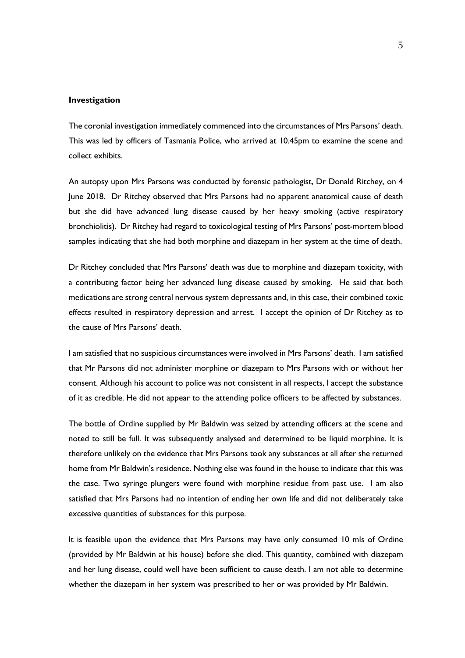#### **Investigation**

The coronial investigation immediately commenced into the circumstances of Mrs Parsons' death. This was led by officers of Tasmania Police, who arrived at 10.45pm to examine the scene and collect exhibits.

An autopsy upon Mrs Parsons was conducted by forensic pathologist, Dr Donald Ritchey, on 4 June 2018. Dr Ritchey observed that Mrs Parsons had no apparent anatomical cause of death but she did have advanced lung disease caused by her heavy smoking (active respiratory bronchiolitis). Dr Ritchey had regard to toxicological testing of Mrs Parsons' post-mortem blood samples indicating that she had both morphine and diazepam in her system at the time of death.

Dr Ritchey concluded that Mrs Parsons' death was due to morphine and diazepam toxicity, with a contributing factor being her advanced lung disease caused by smoking. He said that both medications are strong central nervous system depressants and, in this case, their combined toxic effects resulted in respiratory depression and arrest. I accept the opinion of Dr Ritchey as to the cause of Mrs Parsons' death.

I am satisfied that no suspicious circumstances were involved in Mrs Parsons' death. I am satisfied that Mr Parsons did not administer morphine or diazepam to Mrs Parsons with or without her consent. Although his account to police was not consistent in all respects, I accept the substance of it as credible. He did not appear to the attending police officers to be affected by substances.

The bottle of Ordine supplied by Mr Baldwin was seized by attending officers at the scene and noted to still be full. It was subsequently analysed and determined to be liquid morphine. It is therefore unlikely on the evidence that Mrs Parsons took any substances at all after she returned home from Mr Baldwin's residence. Nothing else was found in the house to indicate that this was the case. Two syringe plungers were found with morphine residue from past use. I am also satisfied that Mrs Parsons had no intention of ending her own life and did not deliberately take excessive quantities of substances for this purpose.

It is feasible upon the evidence that Mrs Parsons may have only consumed 10 mls of Ordine (provided by Mr Baldwin at his house) before she died. This quantity, combined with diazepam and her lung disease, could well have been sufficient to cause death. I am not able to determine whether the diazepam in her system was prescribed to her or was provided by Mr Baldwin.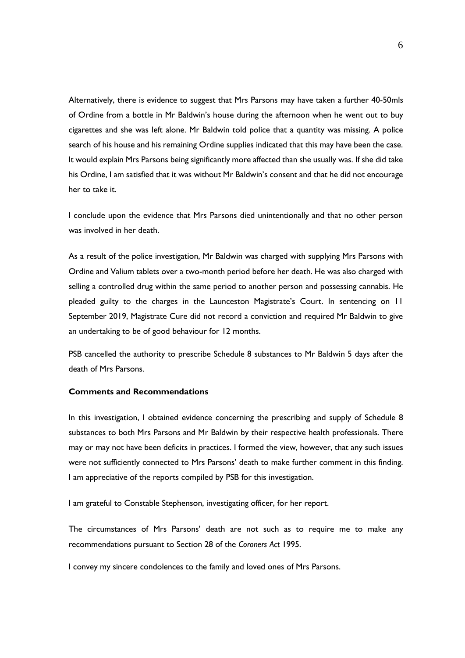Alternatively, there is evidence to suggest that Mrs Parsons may have taken a further 40-50mls of Ordine from a bottle in Mr Baldwin's house during the afternoon when he went out to buy cigarettes and she was left alone. Mr Baldwin told police that a quantity was missing. A police search of his house and his remaining Ordine supplies indicated that this may have been the case. It would explain Mrs Parsons being significantly more affected than she usually was. If she did take his Ordine, I am satisfied that it was without Mr Baldwin's consent and that he did not encourage her to take it.

I conclude upon the evidence that Mrs Parsons died unintentionally and that no other person was involved in her death.

As a result of the police investigation, Mr Baldwin was charged with supplying Mrs Parsons with Ordine and Valium tablets over a two-month period before her death. He was also charged with selling a controlled drug within the same period to another person and possessing cannabis. He pleaded guilty to the charges in the Launceston Magistrate's Court. In sentencing on 11 September 2019, Magistrate Cure did not record a conviction and required Mr Baldwin to give an undertaking to be of good behaviour for 12 months.

PSB cancelled the authority to prescribe Schedule 8 substances to Mr Baldwin 5 days after the death of Mrs Parsons.

### **Comments and Recommendations**

In this investigation, I obtained evidence concerning the prescribing and supply of Schedule 8 substances to both Mrs Parsons and Mr Baldwin by their respective health professionals. There may or may not have been deficits in practices. I formed the view, however, that any such issues were not sufficiently connected to Mrs Parsons' death to make further comment in this finding. I am appreciative of the reports compiled by PSB for this investigation.

I am grateful to Constable Stephenson, investigating officer, for her report.

The circumstances of Mrs Parsons' death are not such as to require me to make any recommendations pursuant to Section 28 of the *Coroners Act* 1995.

I convey my sincere condolences to the family and loved ones of Mrs Parsons.